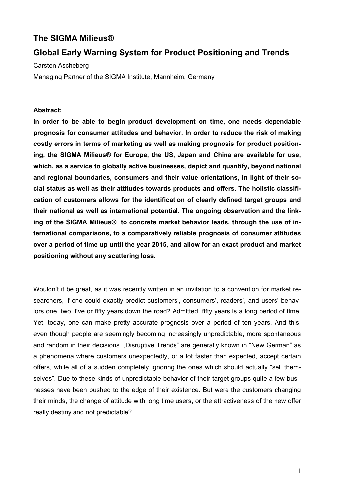### **The SIGMA Milieus®**

### **Global Early Warning System for Product Positioning and Trends**

Carsten Ascheberg Managing Partner of the SIGMA Institute, Mannheim, Germany

#### **Abstract:**

**In order to be able to begin product development on time, one needs dependable prognosis for consumer attitudes and behavior. In order to reduce the risk of making costly errors in terms of marketing as well as making prognosis for product positioning, the SIGMA Milieus® for Europe, the US, Japan and China are available for use, which, as a service to globally active businesses, depict and quantify, beyond national and regional boundaries, consumers and their value orientations, in light of their social status as well as their attitudes towards products and offers. The holistic classification of customers allows for the identification of clearly defined target groups and their national as well as international potential. The ongoing observation and the linking of the SIGMA Milieus® to concrete market behavior leads, through the use of international comparisons, to a comparatively reliable prognosis of consumer attitudes over a period of time up until the year 2015, and allow for an exact product and market positioning without any scattering loss.** 

Wouldn't it be great, as it was recently written in an invitation to a convention for market researchers, if one could exactly predict customers', consumers', readers', and users' behaviors one, two, five or fifty years down the road? Admitted, fifty years is a long period of time. Yet, today, one can make pretty accurate prognosis over a period of ten years. And this, even though people are seemingly becoming increasingly unpredictable, more spontaneous and random in their decisions. "Disruptive Trends" are generally known in "New German" as a phenomena where customers unexpectedly, or a lot faster than expected, accept certain offers, while all of a sudden completely ignoring the ones which should actually "sell themselves". Due to these kinds of unpredictable behavior of their target groups quite a few businesses have been pushed to the edge of their existence. But were the customers changing their minds, the change of attitude with long time users, or the attractiveness of the new offer really destiny and not predictable?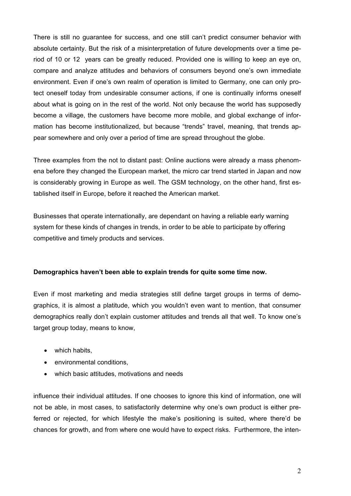There is still no guarantee for success, and one still can't predict consumer behavior with absolute certainty. But the risk of a misinterpretation of future developments over a time period of 10 or 12 years can be greatly reduced. Provided one is willing to keep an eye on, compare and analyze attitudes and behaviors of consumers beyond one's own immediate environment. Even if one's own realm of operation is limited to Germany, one can only protect oneself today from undesirable consumer actions, if one is continually informs oneself about what is going on in the rest of the world. Not only because the world has supposedly become a village, the customers have become more mobile, and global exchange of information has become institutionalized, but because "trends" travel, meaning, that trends appear somewhere and only over a period of time are spread throughout the globe.

Three examples from the not to distant past: Online auctions were already a mass phenomena before they changed the European market, the micro car trend started in Japan and now is considerably growing in Europe as well. The GSM technology, on the other hand, first established itself in Europe, before it reached the American market.

Businesses that operate internationally, are dependant on having a reliable early warning system for these kinds of changes in trends, in order to be able to participate by offering competitive and timely products and services.

### **Demographics haven't been able to explain trends for quite some time now.**

Even if most marketing and media strategies still define target groups in terms of demographics, it is almost a platitude, which you wouldn't even want to mention, that consumer demographics really don't explain customer attitudes and trends all that well. To know one's target group today, means to know.

- which habits,
- environmental conditions,
- which basic attitudes, motivations and needs

influence their individual attitudes. If one chooses to ignore this kind of information, one will not be able, in most cases, to satisfactorily determine why one's own product is either preferred or rejected, for which lifestyle the make's positioning is suited, where there'd be chances for growth, and from where one would have to expect risks. Furthermore, the inten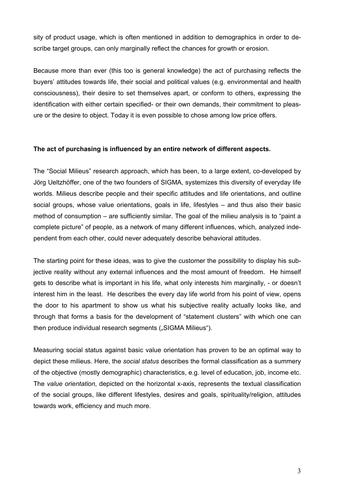sity of product usage, which is often mentioned in addition to demographics in order to describe target groups, can only marginally reflect the chances for growth or erosion.

Because more than ever (this too is general knowledge) the act of purchasing reflects the buyers' attitudes towards life, their social and political values (e.g. environmental and health consciousness), their desire to set themselves apart, or conform to others, expressing the identification with either certain specified- or their own demands, their commitment to pleasure or the desire to object. Today it is even possible to chose among low price offers.

### **The act of purchasing is influenced by an entire network of different aspects.**

The "Social Milieus" research approach, which has been, to a large extent, co-developed by Jörg Ueltzhöffer, one of the two founders of SIGMA, systemizes this diversity of everyday life worlds. Milieus describe people and their specific attitudes and life orientations, and outline social groups, whose value orientations, goals in life, lifestyles – and thus also their basic method of consumption – are sufficiently similar. The goal of the milieu analysis is to "paint a complete picture" of people, as a network of many different influences, which, analyzed independent from each other, could never adequately describe behavioral attitudes.

The starting point for these ideas, was to give the customer the possibility to display his subjective reality without any external influences and the most amount of freedom. He himself gets to describe what is important in his life, what only interests him marginally, - or doesn't interest him in the least. He describes the every day life world from his point of view, opens the door to his apartment to show us what his subjective reality actually looks like, and through that forms a basis for the development of "statement clusters" with which one can then produce individual research segments ("SIGMA Milieus").

Measuring social status against basic value orientation has proven to be an optimal way to depict these milieus. Here, the *social status* describes the formal classification as a summery of the objective (mostly demographic) characteristics, e.g. level of education, job, income etc. The *value orientation*, depicted on the horizontal x-axis, represents the textual classification of the social groups, like different lifestyles, desires and goals, spirituality/religion, attitudes towards work, efficiency and much more*.*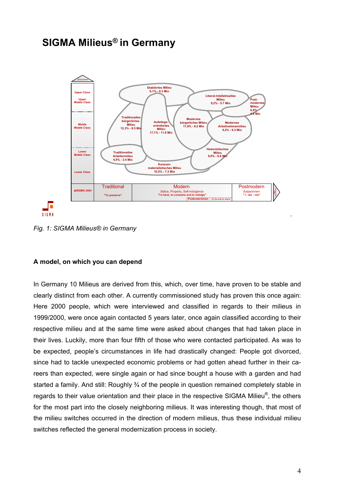## **SIGMA Milieus® in Germany**



*Fig. 1: SIGMA Milieus® in Germany* 

### **A model, on which you can depend**

In Germany 10 Milieus are derived from this, which, over time, have proven to be stable and clearly distinct from each other. A currently commissioned study has proven this once again: Here 2000 people, which were interviewed and classified in regards to their milieus in 1999/2000, were once again contacted 5 years later, once again classified according to their respective milieu and at the same time were asked about changes that had taken place in their lives. Luckily, more than four fifth of those who were contacted participated. As was to be expected, people's circumstances in life had drastically changed: People got divorced, since had to tackle unexpected economic problems or had gotten ahead further in their careers than expected, were single again or had since bought a house with a garden and had started a family. And still: Roughly 3/4 of the people in question remained completely stable in regards to their value orientation and their place in the respective SIGMA Milieu®, the others for the most part into the closely neighboring milieus. It was interesting though, that most of the milieu switches occurred in the direction of modern milieus, thus these individual milieu switches reflected the general modernization process in society.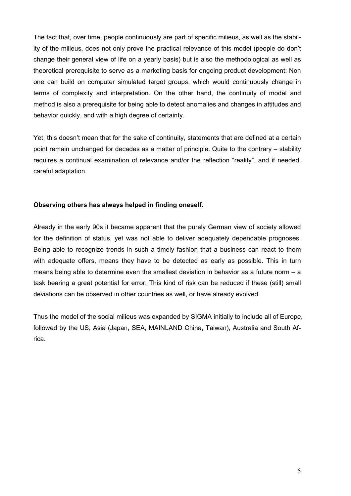The fact that, over time, people continuously are part of specific milieus, as well as the stability of the milieus, does not only prove the practical relevance of this model (people do don't change their general view of life on a yearly basis) but is also the methodological as well as theoretical prerequisite to serve as a marketing basis for ongoing product development: Non one can build on computer simulated target groups, which would continuously change in terms of complexity and interpretation. On the other hand, the continuity of model and method is also a prerequisite for being able to detect anomalies and changes in attitudes and behavior quickly, and with a high degree of certainty.

Yet, this doesn't mean that for the sake of continuity, statements that are defined at a certain point remain unchanged for decades as a matter of principle. Quite to the contrary – stability requires a continual examination of relevance and/or the reflection "reality", and if needed, careful adaptation.

### **Observing others has always helped in finding oneself.**

Already in the early 90s it became apparent that the purely German view of society allowed for the definition of status, yet was not able to deliver adequately dependable prognoses. Being able to recognize trends in such a timely fashion that a business can react to them with adequate offers, means they have to be detected as early as possible. This in turn means being able to determine even the smallest deviation in behavior as a future norm – a task bearing a great potential for error. This kind of risk can be reduced if these (still) small deviations can be observed in other countries as well, or have already evolved.

Thus the model of the social milieus was expanded by SIGMA initially to include all of Europe, followed by the US, Asia (Japan, SEA, MAINLAND China, Taiwan), Australia and South Africa.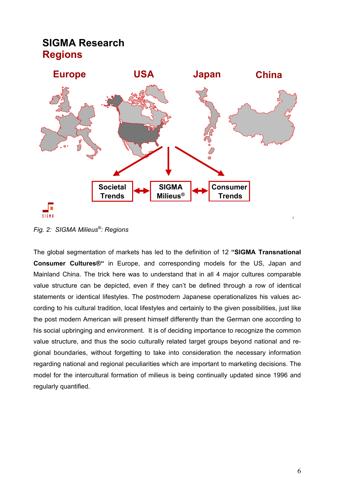## **SIGMA Research Regions**



*Fig. 2: SIGMA Milieus®: Regions* 

The global segmentation of markets has led to the definition of 12 **"SIGMA Transnational Consumer Cultures®"** in Europe, and corresponding models for the US, Japan and Mainland China. The trick here was to understand that in all 4 major cultures comparable value structure can be depicted, even if they can't be defined through a row of identical statements or identical lifestyles. The postmodern Japanese operationalizes his values according to his cultural tradition, local lifestyles and certainly to the given possibilities, just like the post modern American will present himself differently than the German one according to his social upbringing and environment. It is of deciding importance to recognize the common value structure, and thus the socio culturally related target groups beyond national and regional boundaries, without forgetting to take into consideration the necessary information regarding national and regional peculiarities which are important to marketing decisions. The model for the intercultural formation of milieus is being continually updated since 1996 and regularly quantified.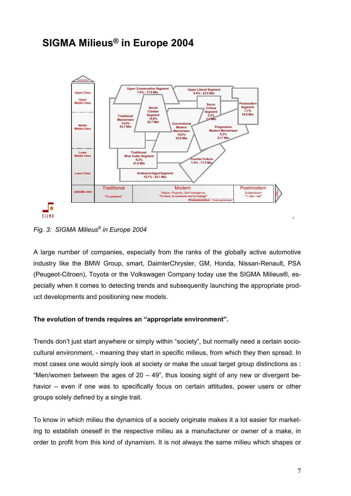# **SIGMA Milieus® in Europe 2004**



*Fig. 3: SIGMA Milieus® in Europe 2004* 

A large number of companies, especially from the ranks of the globally active automotive industry like the BMW Group, smart, DaimlerChrysler, GM, Honda, Nissan-Renault, PSA (Peugeot-Citroen), Toyota or the Volkswagen Company today use the SIGMA Milieus®, especially when it comes to detecting trends and subsequently launching the appropriate product developments and positioning new models.

### **The evolution of trends requires an "appropriate environment".**

Trends don't just start anywhere or simply within "society", but normally need a certain sociocultural environment, - meaning they start in specific milieus, from which they then spread. In most cases one would simply look at society or make the usual target group distinctions as : "Men/women between the ages of  $20 - 49$ ", thus loosing sight of any new or divergent behavior – even if one was to specifically focus on certain attitudes, power users or other groups solely defined by a single trait.

To know in which milieu the dynamics of a society originate makes it a lot easier for marketing to establish oneself in the respective milieu as a manufacturer or owner of a make, in order to profit from this kind of dynamism. It is not always the same milieu which shapes or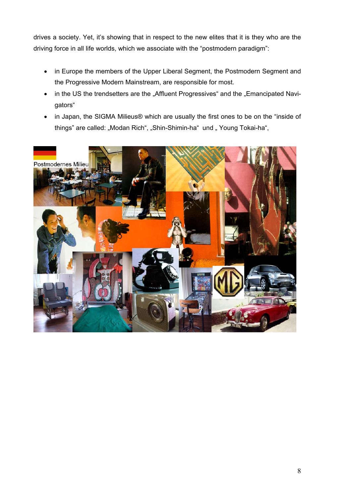drives a society. Yet, it's showing that in respect to the new elites that it is they who are the driving force in all life worlds, which we associate with the "postmodern paradigm":

- in Europe the members of the Upper Liberal Segment, the Postmodern Segment and the Progressive Modern Mainstream, are responsible for most.
- in the US the trendsetters are the "Affluent Progressives" and the "Emancipated Navigators"
- in Japan, the SIGMA Milieus® which are usually the first ones to be on the "inside of things" are called: "Modan Rich", "Shin-Shimin-ha" und " Young Tokai-ha",

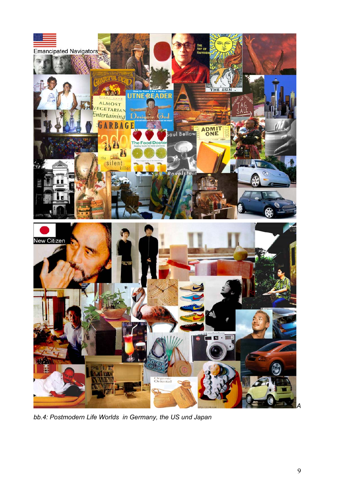

*bb.4: Postmodern Life Worlds in Germany, the US und Japan*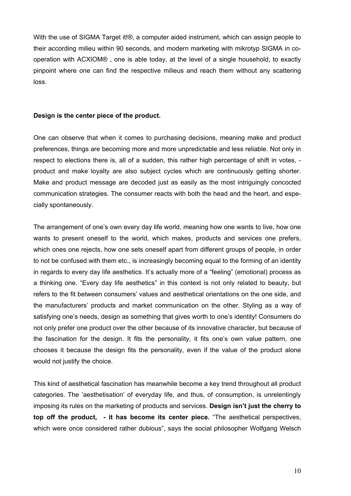With the use of SIGMA Target it!®, a computer aided instrument, which can assign people to their according milieu within 90 seconds, and modern marketing with mikrotyp SIGMA in cooperation with ACXIOM® , one is able today, at the level of a single household, to exactly pinpoint where one can find the respective milieus and reach them without any scattering loss.

### **Design is the center piece of the product.**

One can observe that when it comes to purchasing decisions, meaning make and product preferences, things are becoming more and more unpredictable and less reliable. Not only in respect to elections there is, all of a sudden, this rather high percentage of shift in votes, product and make loyalty are also subject cycles which are continuously getting shorter. Make and product message are decoded just as easily as the most intriguingly concocted communication strategies. The consumer reacts with both the head and the heart, and especially spontaneously.

The arrangement of one's own every day life world, meaning how one wants to live, how one wants to present oneself to the world, which makes, products and services one prefers, which ones one rejects, how one sets oneself apart from different groups of people, in order to not be confused with them etc., is increasingly becoming equal to the forming of an identity in regards to every day life aesthetics. It's actually more of a "feeling" (emotional) process as a thinking one. "Every day life aesthetics" in this context is not only related to beauty, but refers to the fit between consumers' values and aesthetical orientations on the one side, and the manufacturers' products and market communication on the other. Styling as a way of satisfying one's needs, design as something that gives worth to one's identity! Consumers do not only prefer one product over the other because of its innovative character, but because of the fascination for the design. It fits the personality, it fits one's own value pattern, one chooses it because the design fits the personality, even if the value of the product alone would not justify the choice.

This kind of aesthetical fascination has meanwhile become a key trend throughout all product categories. The 'aesthetisation' of everyday life, and thus, of consumption, is unrelentingly imposing its rules on the marketing of products and services. **Design isn't just the cherry to top off the product, - it has become its center piece.** "The aesthetical perspectives, which were once considered rather dubious", says the social philosopher Wolfgang Welsch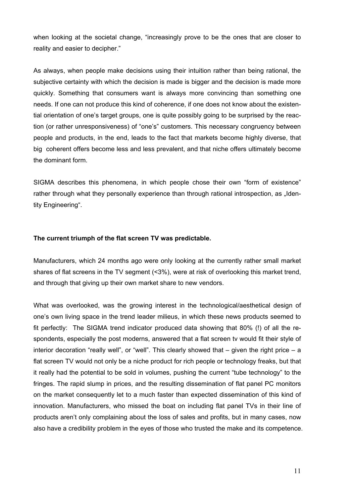when looking at the societal change, "increasingly prove to be the ones that are closer to reality and easier to decipher."

As always, when people make decisions using their intuition rather than being rational, the subjective certainty with which the decision is made is bigger and the decision is made more quickly. Something that consumers want is always more convincing than something one needs. If one can not produce this kind of coherence, if one does not know about the existential orientation of one's target groups, one is quite possibly going to be surprised by the reaction (or rather unresponsiveness) of "one's" customers. This necessary congruency between people and products, in the end, leads to the fact that markets become highly diverse, that big coherent offers become less and less prevalent, and that niche offers ultimately become the dominant form.

SIGMA describes this phenomena, in which people chose their own "form of existence" rather through what they personally experience than through rational introspection, as "Identity Engineering".

### **The current triumph of the flat screen TV was predictable.**

Manufacturers, which 24 months ago were only looking at the currently rather small market shares of flat screens in the TV segment (<3%), were at risk of overlooking this market trend, and through that giving up their own market share to new vendors.

What was overlooked, was the growing interest in the technological/aesthetical design of one's own living space in the trend leader milieus, in which these news products seemed to fit perfectly: The SIGMA trend indicator produced data showing that 80% (!) of all the respondents, especially the post moderns, answered that a flat screen tv would fit their style of interior decoration "really well", or "well". This clearly showed that  $-$  given the right price  $-$  a flat screen TV would not only be a niche product for rich people or technology freaks, but that it really had the potential to be sold in volumes, pushing the current "tube technology" to the fringes. The rapid slump in prices, and the resulting dissemination of flat panel PC monitors on the market consequently let to a much faster than expected dissemination of this kind of innovation. Manufacturers, who missed the boat on including flat panel TVs in their line of products aren't only complaining about the loss of sales and profits, but in many cases, now also have a credibility problem in the eyes of those who trusted the make and its competence.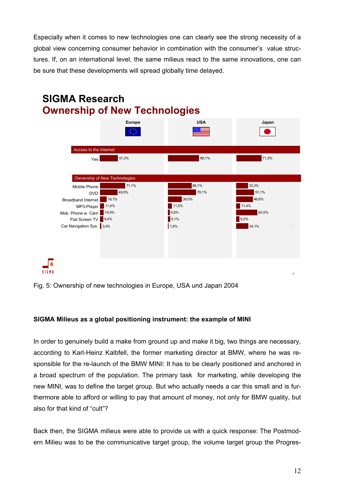Especially when it comes to new technologies one can clearly see the strong necessity of a global view concerning consumer behavior in combination with the consumer's value structures. If, on an international level, the same milieus react to the same innovations, one can be sure that these developments will spread globally time delayed.



Fig. 5: Ownership of new technologies in Europe, USA und Japan 2004

### **SIGMA Milieus as a global positioning instrument: the example of MINI**

In order to genuinely build a make from ground up and make it big, two things are necessary, according to Karl-Heinz Kalbfell, the former marketing director at BMW, where he was responsible for the re-launch of the BMW MINI: It has to be clearly positioned and anchored in a broad spectrum of the population. The primary task for marketing, while developing the new MINI, was to define the target group. But who actually needs a car this small and is furthermore able to afford or willing to pay that amount of money, not only for BMW quality, but also for that kind of "cult"?

Back then, the SIGMA milieus were able to provide us with a quick response: The Postmodern Milieu was to be the communicative target group, the volume target group the Progres-